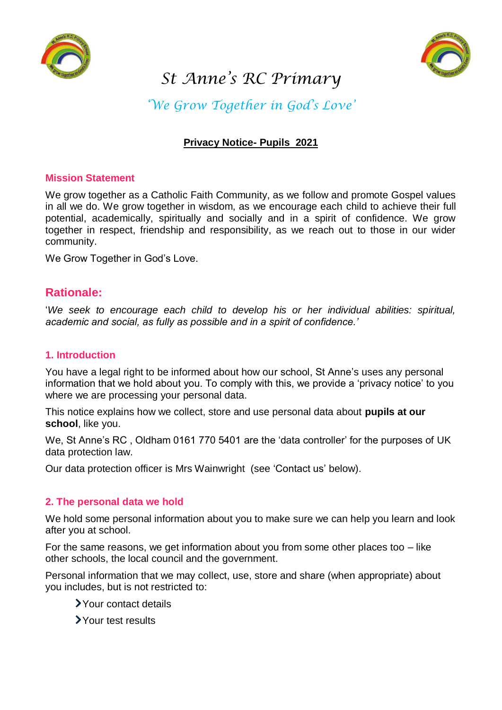

# *St Anne's RC Primary*



*'We Grow Together in God's Love'*

## **Privacy Notice- Pupils 2021**

## **Mission Statement**

We grow together as a Catholic Faith Community, as we follow and promote Gospel values in all we do. We grow together in wisdom, as we encourage each child to achieve their full potential, academically, spiritually and socially and in a spirit of confidence. We grow together in respect, friendship and responsibility, as we reach out to those in our wider community.

We Grow Together in God's Love.

## **Rationale:**

'*We seek to encourage each child to develop his or her individual abilities: spiritual, academic and social, as fully as possible and in a spirit of confidence.'*

## **1. Introduction**

You have a legal right to be informed about how our school, St Anne's uses any personal information that we hold about you. To comply with this, we provide a 'privacy notice' to you where we are processing your personal data.

This notice explains how we collect, store and use personal data about **pupils at our school**, like you.

We, St Anne's RC , Oldham 0161 770 5401 are the 'data controller' for the purposes of UK data protection law.

Our data protection officer is Mrs Wainwright (see 'Contact us' below).

#### **2. The personal data we hold**

We hold some personal information about you to make sure we can help you learn and look after you at school.

For the same reasons, we get information about you from some other places too  $-$  like other schools, the local council and the government.

Personal information that we may collect, use, store and share (when appropriate) about you includes, but is not restricted to:

- Your contact details
- Your test results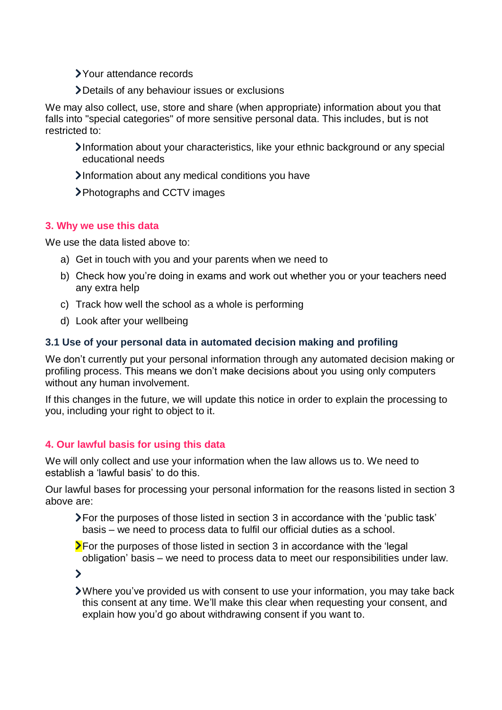Your attendance records

Details of any behaviour issues or exclusions

We may also collect, use, store and share (when appropriate) information about you that falls into "special categories" of more sensitive personal data. This includes, but is not restricted to:

- Information about your characteristics, like your ethnic background or any special educational needs
- Information about any medical conditions you have
- Photographs and CCTV images

## **3. Why we use this data**

We use the data listed above to:

- a) Get in touch with you and your parents when we need to
- b) Check how you're doing in exams and work out whether you or your teachers need any extra help
- c) Track how well the school as a whole is performing
- d) Look after your wellbeing

## **3.1 Use of your personal data in automated decision making and profiling**

We don't currently put your personal information through any automated decision making or profiling process. This means we don't make decisions about you using only computers without any human involvement.

If this changes in the future, we will update this notice in order to explain the processing to you, including your right to object to it.

## **4. Our lawful basis for using this data**

We will only collect and use your information when the law allows us to. We need to establish a 'lawful basis' to do this.

Our lawful bases for processing your personal information for the reasons listed in section 3 above are:

- For the purposes of those listed in section 3 in accordance with the 'public task' basis – we need to process data to fulfil our official duties as a school.
- $\sum$  For the purposes of those listed in section 3 in accordance with the 'legal obligation' basis – we need to process data to meet our responsibilities under law.

 $\blacktriangleright$ 

Where you've provided us with consent to use your information, you may take back this consent at any time. We'll make this clear when requesting your consent, and explain how you'd go about withdrawing consent if you want to.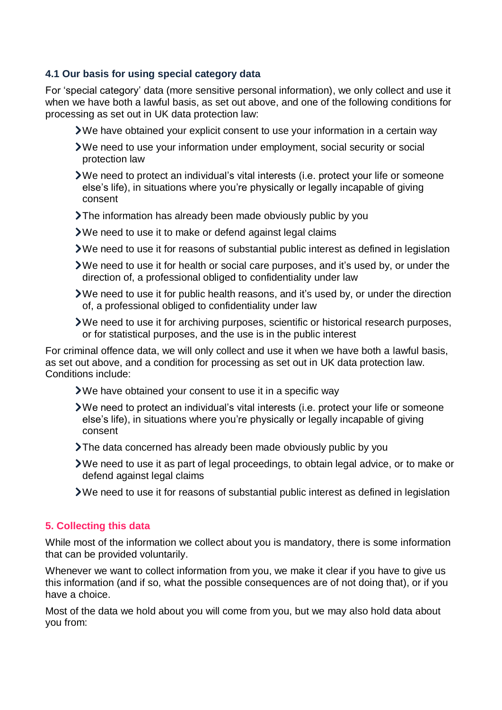## **4.1 Our basis for using special category data**

For 'special category' data (more sensitive personal information), we only collect and use it when we have both a lawful basis, as set out above, and one of the following conditions for processing as set out in UK data protection law:

- We have obtained your explicit consent to use your information in a certain way
- We need to use your information under employment, social security or social protection law
- We need to protect an individual's vital interests (i.e. protect your life or someone else's life), in situations where you're physically or legally incapable of giving consent
- The information has already been made obviously public by you
- We need to use it to make or defend against legal claims
- We need to use it for reasons of substantial public interest as defined in legislation
- We need to use it for health or social care purposes, and it's used by, or under the direction of, a professional obliged to confidentiality under law
- We need to use it for public health reasons, and it's used by, or under the direction of, a professional obliged to confidentiality under law
- We need to use it for archiving purposes, scientific or historical research purposes, or for statistical purposes, and the use is in the public interest

For criminal offence data, we will only collect and use it when we have both a lawful basis, as set out above, and a condition for processing as set out in UK data protection law. Conditions include:

- We have obtained your consent to use it in a specific way
- We need to protect an individual's vital interests (i.e. protect your life or someone else's life), in situations where you're physically or legally incapable of giving consent
- The data concerned has already been made obviously public by you
- We need to use it as part of legal proceedings, to obtain legal advice, or to make or defend against legal claims
- We need to use it for reasons of substantial public interest as defined in legislation

#### **5. Collecting this data**

While most of the information we collect about you is mandatory, there is some information that can be provided voluntarily.

Whenever we want to collect information from you, we make it clear if you have to give us this information (and if so, what the possible consequences are of not doing that), or if you have a choice.

Most of the data we hold about you will come from you, but we may also hold data about you from: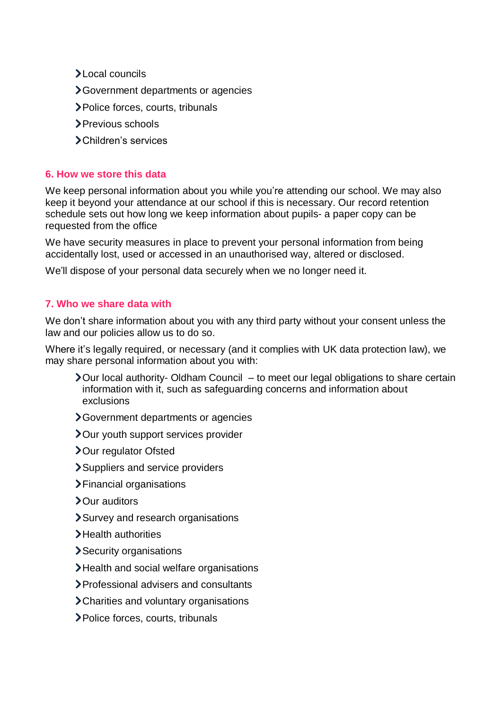- Local councils
- Government departments or agencies
- Police forces, courts, tribunals
- Previous schools
- Children's services

## **6. How we store this data**

We keep personal information about you while you're attending our school. We may also keep it beyond your attendance at our school if this is necessary. Our record retention schedule sets out how long we keep information about pupils- a paper copy can be requested from the office

We have security measures in place to prevent your personal information from being accidentally lost, used or accessed in an unauthorised way, altered or disclosed.

We'll dispose of your personal data securely when we no longer need it.

## **7. Who we share data with**

We don't share information about you with any third party without your consent unless the law and our policies allow us to do so.

Where it's legally required, or necessary (and it complies with UK data protection law), we may share personal information about you with:

- $\lambda$  Our local authority- Oldham Council to meet our legal obligations to share certain information with it, such as safeguarding concerns and information about exclusions
- Government departments or agencies
- **>Our youth support services provider**
- > Our regulator Ofsted
- Suppliers and service providers
- Financial organisations
- > Our auditors
- Survey and research organisations
- >Health authorities
- Security organisations
- Health and social welfare organisations
- Professional advisers and consultants
- Charities and voluntary organisations
- Police forces, courts, tribunals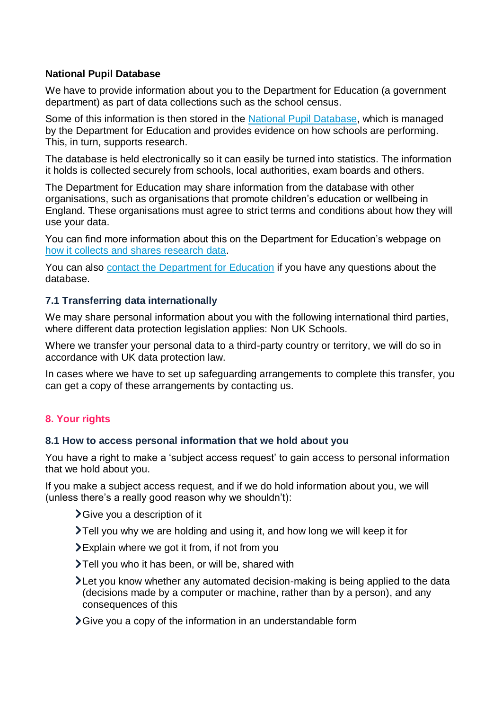## **National Pupil Database**

We have to provide information about you to the Department for Education (a government department) as part of data collections such as the school census.

Some of this information is then stored in the [National Pupil Database,](https://www.gov.uk/government/collections/national-pupil-database) which is managed by the Department for Education and provides evidence on how schools are performing. This, in turn, supports research.

The database is held electronically so it can easily be turned into statistics. The information it holds is collected securely from schools, local authorities, exam boards and others.

The Department for Education may share information from the database with other organisations, such as organisations that promote children's education or wellbeing in England. These organisations must agree to strict terms and conditions about how they will use your data.

You can find more information about this on the Department for Education's webpage on [how it collects and shares research](https://www.gov.uk/data-protection-how-we-collect-and-share-research-data) data.

You can also [contact the Department for Education](https://www.gov.uk/contact-dfe) if you have any questions about the database.

## **7.1 Transferring data internationally**

We may share personal information about you with the following international third parties, where different data protection legislation applies: Non UK Schools.

Where we transfer your personal data to a third-party country or territory, we will do so in accordance with UK data protection law.

In cases where we have to set up safeguarding arrangements to complete this transfer, you can get a copy of these arrangements by contacting us.

## **8. Your rights**

#### **8.1 How to access personal information that we hold about you**

You have a right to make a 'subject access request' to gain access to personal information that we hold about you.

If you make a subject access request, and if we do hold information about you, we will (unless there's a really good reason why we shouldn't):

- Give you a description of it
- Tell you why we are holding and using it, and how long we will keep it for
- Explain where we got it from, if not from you
- Tell you who it has been, or will be, shared with
- Let you know whether any automated decision-making is being applied to the data (decisions made by a computer or machine, rather than by a person), and any consequences of this
- Give you a copy of the information in an understandable form